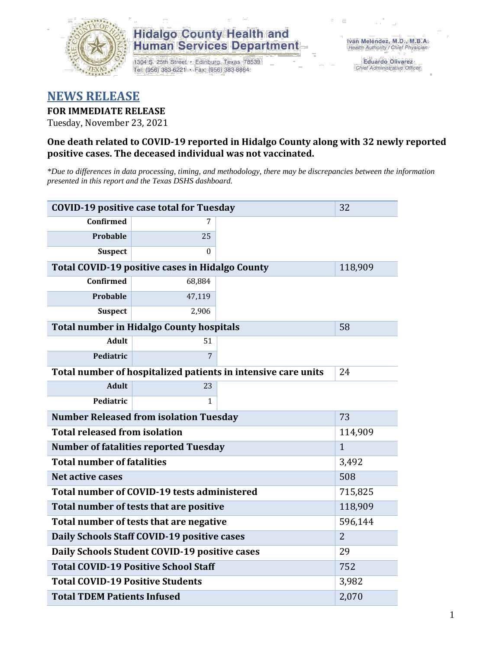

# **Hidalgo County Health and Human Services Department**

1304 S. 25th Street · Edinburg, Texas 78539 Tel: (956) 383-6221 · Fax: (956) 383-8864

**Eduardo Olivarez** Chief Administrative Officer

# **NEWS RELEASE**

#### **FOR IMMEDIATE RELEASE**

Tuesday, November 23, 2021

#### **One death related to COVID-19 reported in Hidalgo County along with 32 newly reported positive cases. The deceased individual was not vaccinated.**

*\*Due to differences in data processing, timing, and methodology, there may be discrepancies between the information presented in this report and the Texas DSHS dashboard.*

| <b>COVID-19 positive case total for Tuesday</b>               | 32                                                     |              |         |
|---------------------------------------------------------------|--------------------------------------------------------|--------------|---------|
| <b>Confirmed</b>                                              | 7                                                      |              |         |
| <b>Probable</b>                                               | 25                                                     |              |         |
| <b>Suspect</b>                                                | $\Omega$                                               |              |         |
|                                                               | <b>Total COVID-19 positive cases in Hidalgo County</b> |              | 118,909 |
| <b>Confirmed</b>                                              | 68,884                                                 |              |         |
| Probable                                                      | 47,119                                                 |              |         |
| <b>Suspect</b>                                                | 2,906                                                  |              |         |
|                                                               | <b>Total number in Hidalgo County hospitals</b>        |              | 58      |
| <b>Adult</b>                                                  | 51                                                     |              |         |
| Pediatric                                                     | 7                                                      |              |         |
| Total number of hospitalized patients in intensive care units | 24                                                     |              |         |
| <b>Adult</b>                                                  | 23                                                     |              |         |
| Pediatric                                                     | 1                                                      |              |         |
|                                                               | <b>Number Released from isolation Tuesday</b>          |              | 73      |
| <b>Total released from isolation</b>                          |                                                        | 114,909      |         |
| <b>Number of fatalities reported Tuesday</b>                  |                                                        | $\mathbf{1}$ |         |
| <b>Total number of fatalities</b>                             |                                                        |              | 3,492   |
| <b>Net active cases</b>                                       |                                                        |              | 508     |
| Total number of COVID-19 tests administered                   |                                                        | 715,825      |         |
| Total number of tests that are positive                       | 118,909                                                |              |         |
| Total number of tests that are negative                       | 596,144                                                |              |         |
| Daily Schools Staff COVID-19 positive cases                   | $\overline{2}$                                         |              |         |
| Daily Schools Student COVID-19 positive cases                 | 29                                                     |              |         |
| <b>Total COVID-19 Positive School Staff</b>                   | 752                                                    |              |         |
| <b>Total COVID-19 Positive Students</b>                       | 3,982                                                  |              |         |
| <b>Total TDEM Patients Infused</b>                            | 2,070                                                  |              |         |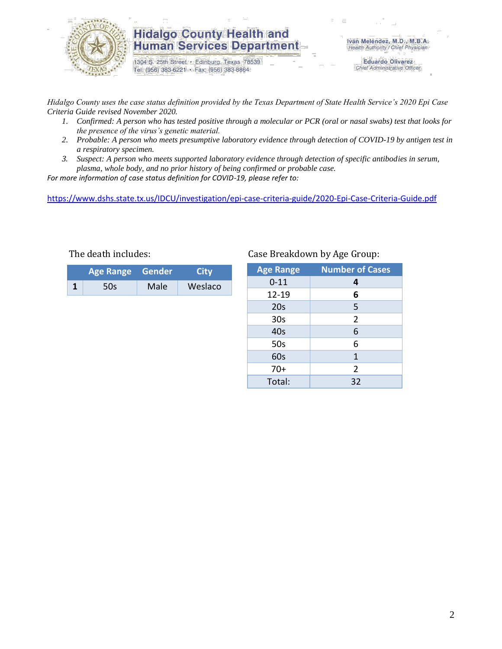

## **Hidalgo County Health and Human Services Department**

1304 S. 25th Street · Edinburg, Texas 78539 Tel: (956) 383-6221 · Fax: (956) 383-8864

Iván Meléndez, M.D., M.B.A. Health Authority / Chief Physician

> **Eduardo Olivarez** Chief Administrative Officer

*Hidalgo County uses the case status definition provided by the Texas Department of State Health Service's 2020 Epi Case Criteria Guide revised November 2020.*

- *1. Confirmed: A person who has tested positive through a molecular or PCR (oral or nasal swabs) test that looks for the presence of the virus's genetic material.*
- *2. Probable: A person who meets presumptive laboratory evidence through detection of COVID-19 by antigen test in a respiratory specimen.*
- *3. Suspect: A person who meets supported laboratory evidence through detection of specific antibodies in serum, plasma, whole body, and no prior history of being confirmed or probable case.*

*For more information of case status definition for COVID-19, please refer to:*

<https://www.dshs.state.tx.us/IDCU/investigation/epi-case-criteria-guide/2020-Epi-Case-Criteria-Guide.pdf>

| Age Range Gender |     |      | City    |  |
|------------------|-----|------|---------|--|
|                  | 50s | Male | Weslaco |  |

#### The death includes: Case Breakdown by Age Group:

| <b>Age Range</b> | <b>Number of Cases</b> |  |  |
|------------------|------------------------|--|--|
| $0 - 11$         | 4                      |  |  |
| 12-19            | 6                      |  |  |
| 20s              | 5                      |  |  |
| 30 <sub>s</sub>  | $\overline{2}$         |  |  |
| 40s              | 6                      |  |  |
| 50s              | 6                      |  |  |
| 60s              | $\mathbf{1}$           |  |  |
| $70+$            | $\overline{2}$         |  |  |
| Total:           | 32                     |  |  |